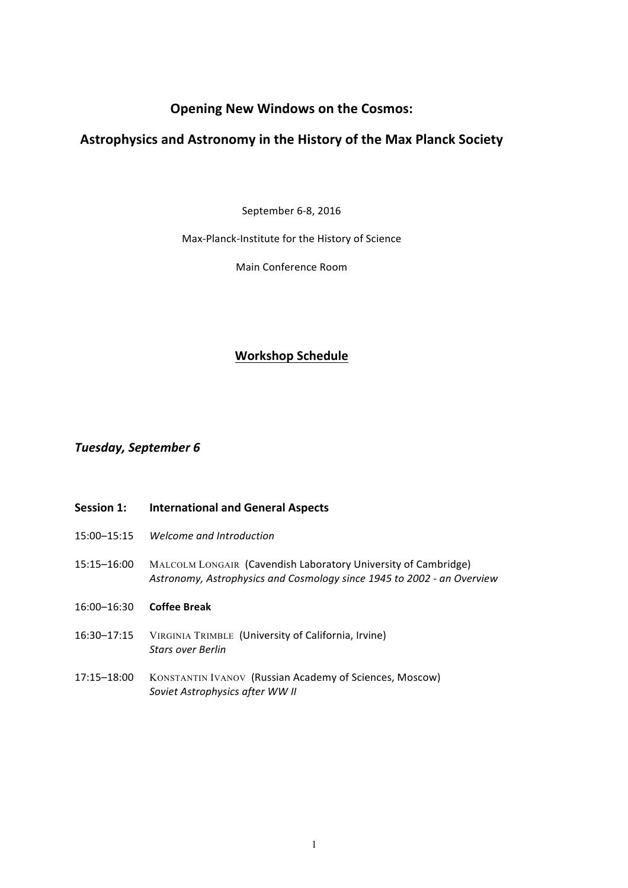# **Opening New Windows on the Cosmos:**

# **Astrophysics and Astronomy in the History of the Max Planck Society**

September 6-8, 2016

Max-Planck-Institute for the History of Science

Main Conference Room

# **Workshop Schedule**

# *Tuesday, September 6*

## **Session 1: International and General Aspects**

- 15:00–15:15 *Welcome and Introduction*
- 15:15-16:00 MALCOLM LONGAIR (Cavendish Laboratory University of Cambridge) *Astronomy, Astrophysics and Cosmology since 1945 to 2002 - an Overview*
- 16:00–16:30 **Coffee Break**
- 16:30-17:15 VIRGINIA TRIMBLE (University of California, Irvine) *Stars over Berlin*
- 17:15-18:00 KONSTANTIN IVANOV (Russian Academy of Sciences, Moscow) **Soviet Astrophysics after WW II**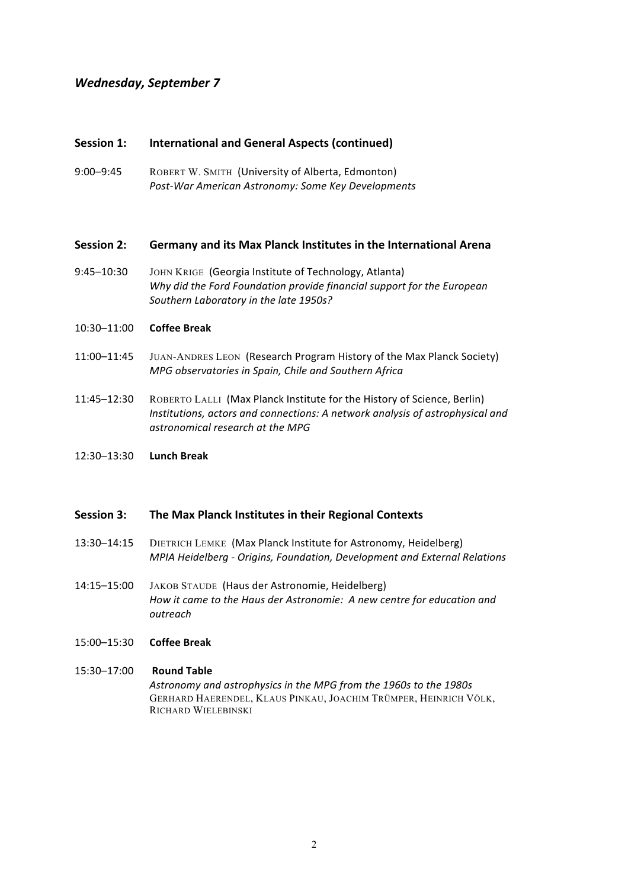# *Wednesday, September 7*

## **Session 1:** International and General Aspects (continued)

9:00–9:45 ROBERT W. SMITH (University of Alberta, Edmonton) *Post-War American Astronomy: Some Key Developments*

#### **Session 2:** Germany and its Max Planck Institutes in the International Arena

9:45–10:30 JOHN KRIGE (Georgia Institute of Technology, Atlanta) Why did the Ford Foundation provide financial support for the European Southern Laboratory in the late 1950s?

#### 10:30–11:00 **Coffee Break**

- 11:00–11:45 JUAN-ANDRES LEON (Research Program History of the Max Planck Society) *MPG observatories in Spain, Chile and Southern Africa*
- 11:45–12:30 ROBERTO LALLI (Max Planck Institute for the History of Science, Berlin) *Institutions, actors and connections:* A network analysis of astrophysical and *astronomical research at the MPG*
- 12:30–13:30 **Lunch Break**

### **Session 3:** The Max Planck Institutes in their Regional Contexts

- 13:30–14:15 DIETRICH LEMKE (Max Planck Institute for Astronomy, Heidelberg) *MPIA Heidelberg - Origins, Foundation, Development and External Relations*
- 14:15–15:00 JAKOB STAUDE (Haus der Astronomie, Heidelberg) How it came to the Haus der Astronomie: A new centre for education and *outreach*

### 15:00–15:30 **Coffee Break**

#### 15:30-17:00 **Round Table**

*Astronomy and astrophysics in the MPG from the 1960s to the 1980s* GERHARD HAERENDEL, KLAUS PINKAU, JOACHIM TRÜMPER, HEINRICH VÖLK, RICHARD WIELEBINSKI